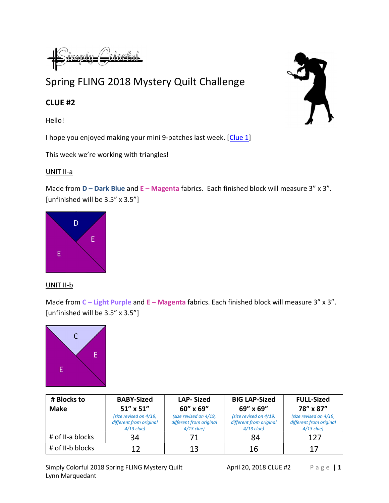imoku (

## Spring FLING 2018 Mystery Quilt Challenge

## CLUE #2

Hello!

I hope you enjoyed making your mini 9-patches last week. [Clue 1]

This week we're working with triangles!

## UNIT II-a

Made from  $D -$  Dark Blue and  $E -$  Magenta fabrics. Each finished block will measure 3" x 3". [unfinished will be 3.5" x 3.5"]



## UNIT II-b

Made from  $C$  – Light Purple and  $E$  – Magenta fabrics. Each finished block will measure 3" x 3". [unfinished will be 3.5" x 3.5"]



| # Blocks to      | <b>BABY-Sized</b>                                                 | <b>LAP-Sized</b>                                                  | <b>BIG LAP-Sized</b>                                              | <b>FULL-Sized</b>                                                 |
|------------------|-------------------------------------------------------------------|-------------------------------------------------------------------|-------------------------------------------------------------------|-------------------------------------------------------------------|
| <b>Make</b>      | $51''$ x $51''$                                                   | 60" x 69"                                                         | 69" x 69"                                                         | 78" x 87"                                                         |
|                  | (size revised on 4/19,<br>different from original<br>$4/13$ clue) | (size revised on 4/19,<br>different from original<br>$4/13$ clue) | (size revised on 4/19,<br>different from original<br>$4/13$ clue) | (size revised on 4/19,<br>different from original<br>$4/13$ clue) |
| # of II-a blocks | 34                                                                |                                                                   | 84                                                                | 127                                                               |
| # of II-b blocks |                                                                   | 13                                                                | 16                                                                |                                                                   |

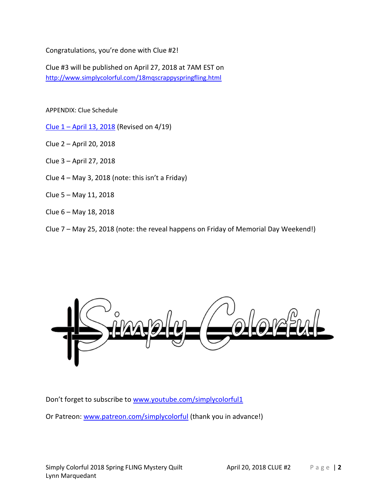Congratulations, you're done with Clue #2!

Clue #3 will be published on April 27, 2018 at 7AM EST on http://www.simplycolorful.com/18mqscrappyspringfling.html

APPENDIX: Clue Schedule

Clue 1 – April 13, 2018 (Revised on 4/19)

Clue 2 – April 20, 2018

Clue 3 – April 27, 2018

Clue  $4 - May 3$ , 2018 (note: this isn't a Friday)

Clue 5 – May 11, 2018

Clue 6 – May 18, 2018

Clue 7 – May 25, 2018 (note: the reveal happens on Friday of Memorial Day Weekend!)



Don't forget to subscribe to www.youtube.com/simplycolorful1 Or Patreon: www.patreon.com/simplycolorful (thank you in advance!)